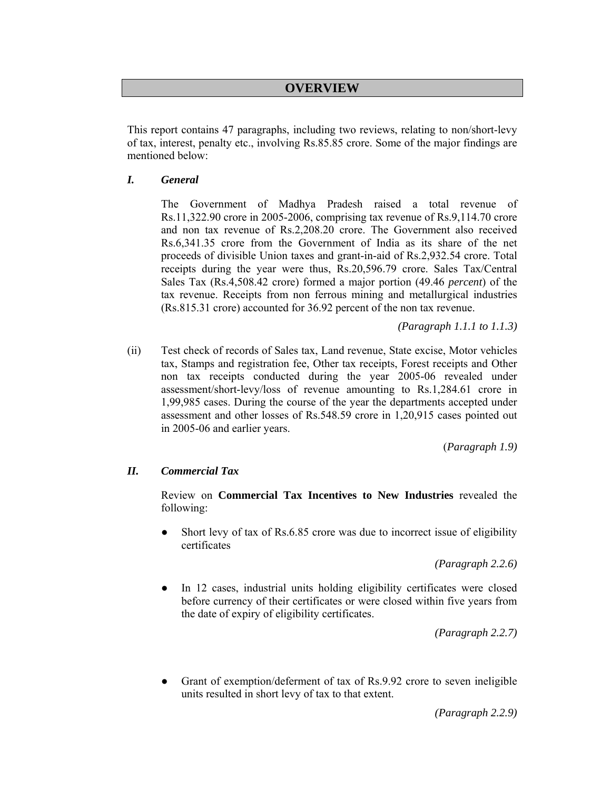# **OVERVIEW**

This report contains 47 paragraphs, including two reviews, relating to non/short-levy of tax, interest, penalty etc., involving Rs.85.85 crore. Some of the major findings are mentioned below:

### *I. General*

 The Government of Madhya Pradesh raised a total revenue of Rs.11,322.90 crore in 2005-2006, comprising tax revenue of Rs.9,114.70 crore and non tax revenue of Rs.2,208.20 crore. The Government also received Rs.6,341.35 crore from the Government of India as its share of the net proceeds of divisible Union taxes and grant-in-aid of Rs.2,932.54 crore. Total receipts during the year were thus, Rs.20,596.79 crore. Sales Tax/Central Sales Tax (Rs.4,508.42 crore) formed a major portion (49.46 *percent*) of the tax revenue. Receipts from non ferrous mining and metallurgical industries (Rs.815.31 crore) accounted for 36.92 percent of the non tax revenue.

*(Paragraph 1.1.1 to 1.1.3)* 

(ii) Test check of records of Sales tax, Land revenue, State excise, Motor vehicles tax, Stamps and registration fee, Other tax receipts, Forest receipts and Other non tax receipts conducted during the year 2005-06 revealed under assessment/short-levy/loss of revenue amounting to Rs.1,284.61 crore in 1,99,985 cases. During the course of the year the departments accepted under assessment and other losses of Rs.548.59 crore in 1,20,915 cases pointed out in 2005-06 and earlier years.

(*Paragraph 1.9)*

## *II. Commercial Tax*

 Review on **Commercial Tax Incentives to New Industries** revealed the following:

Short levy of tax of Rs.6.85 crore was due to incorrect issue of eligibility certificates

*(Paragraph 2.2.6)* 

• In 12 cases, industrial units holding eligibility certificates were closed before currency of their certificates or were closed within five years from the date of expiry of eligibility certificates.

*(Paragraph 2.2.7)* 

Grant of exemption/deferment of tax of Rs.9.92 crore to seven ineligible units resulted in short levy of tax to that extent.

*(Paragraph 2.2.9)*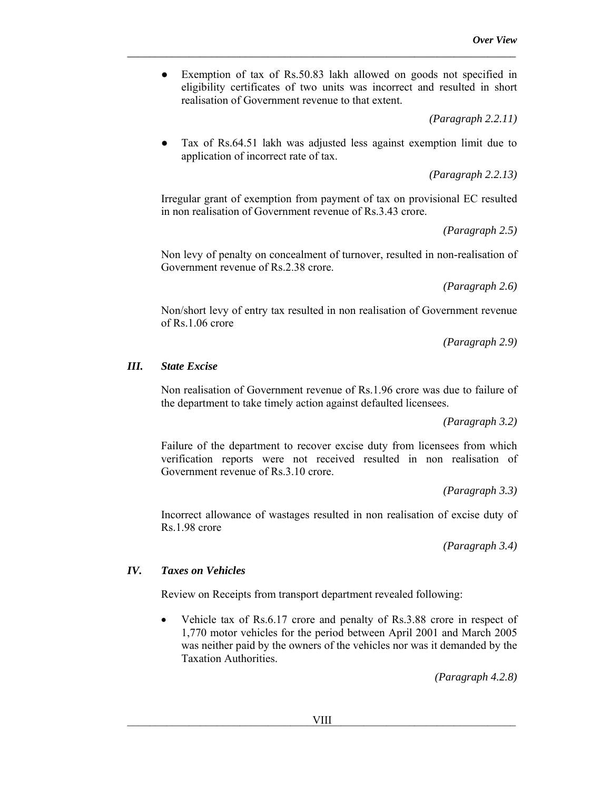• Exemption of tax of Rs.50.83 lakh allowed on goods not specified in eligibility certificates of two units was incorrect and resulted in short realisation of Government revenue to that extent.

*\_\_\_\_\_\_\_\_\_\_\_\_\_\_\_\_\_\_\_\_\_\_\_\_\_\_\_\_\_\_\_\_\_\_\_\_\_\_\_\_\_\_\_\_\_\_\_\_\_\_\_\_\_\_\_\_\_\_\_\_\_\_\_\_\_\_\_\_\_* 

*(Paragraph 2.2.11)* 

Tax of Rs.64.51 lakh was adjusted less against exemption limit due to application of incorrect rate of tax.

*(Paragraph 2.2.13)* 

 Irregular grant of exemption from payment of tax on provisional EC resulted in non realisation of Government revenue of Rs.3.43 crore.

*(Paragraph 2.5)* 

 Non levy of penalty on concealment of turnover, resulted in non-realisation of Government revenue of Rs.2.38 crore.

*(Paragraph 2.6)* 

 Non/short levy of entry tax resulted in non realisation of Government revenue of Rs.1.06 crore

*(Paragraph 2.9)* 

#### *III. State Excise*

 Non realisation of Government revenue of Rs.1.96 crore was due to failure of the department to take timely action against defaulted licensees.

*(Paragraph 3.2)* 

 Failure of the department to recover excise duty from licensees from which verification reports were not received resulted in non realisation of Government revenue of Rs.3.10 crore.

*(Paragraph 3.3)* 

 Incorrect allowance of wastages resulted in non realisation of excise duty of Rs.1.98 crore

*(Paragraph 3.4)* 

## *IV. Taxes on Vehicles*

Review on Receipts from transport department revealed following:

Vehicle tax of Rs.6.17 crore and penalty of Rs.3.88 crore in respect of 1,770 motor vehicles for the period between April 2001 and March 2005 was neither paid by the owners of the vehicles nor was it demanded by the Taxation Authorities.

*(Paragraph 4.2.8)*